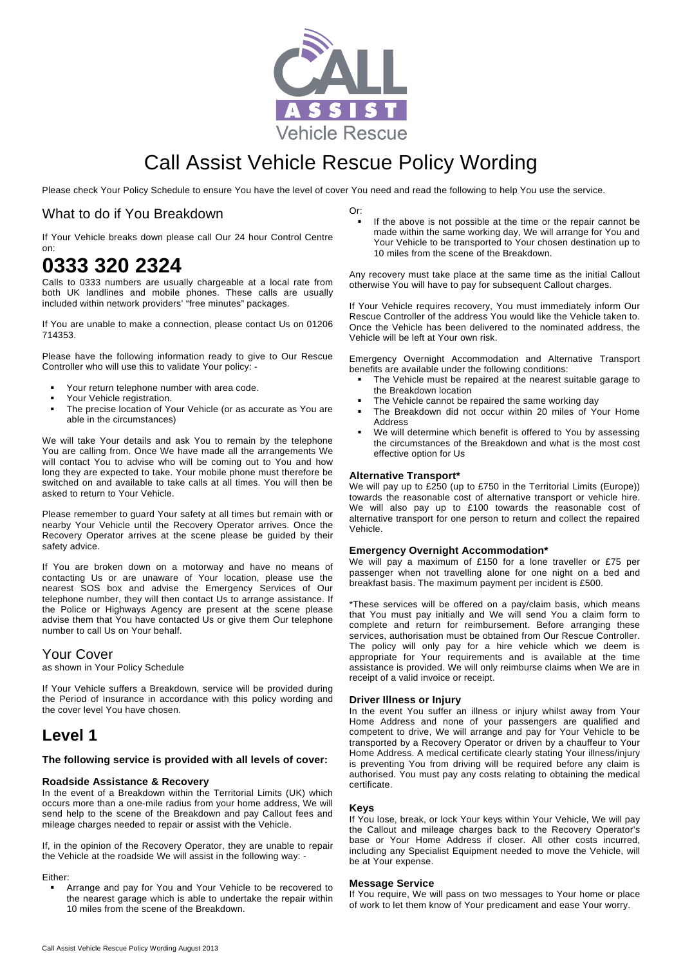

# Call Assist Vehicle Rescue Policy Wording

Please check Your Policy Schedule to ensure You have the level of cover You need and read the following to help You use the service.

## What to do if You Breakdown

If Your Vehicle breaks down please call Our 24 hour Control Centre on:

# **0333 320 2324**

Calls to 0333 numbers are usually chargeable at a local rate from both UK landlines and mobile phones. These calls are usually included within network providers' "free minutes" packages.

If You are unable to make a connection, please contact Us on 01206 714353.

Please have the following information ready to give to Our Rescue Controller who will use this to validate Your policy: -

- Your return telephone number with area code.
- **•** Your Vehicle registration.
- The precise location of Your Vehicle (or as accurate as You are able in the circumstances)

We will take Your details and ask You to remain by the telephone You are calling from. Once We have made all the arrangements We will contact You to advise who will be coming out to You and how long they are expected to take. Your mobile phone must therefore be switched on and available to take calls at all times. You will then be asked to return to Your Vehicle.

Please remember to guard Your safety at all times but remain with or nearby Your Vehicle until the Recovery Operator arrives. Once the Recovery Operator arrives at the scene please be guided by their safety advice.

If You are broken down on a motorway and have no means of contacting Us or are unaware of Your location, please use the nearest SOS box and advise the Emergency Services of Our telephone number, they will then contact Us to arrange assistance. If the Police or Highways Agency are present at the scene please advise them that You have contacted Us or give them Our telephone number to call Us on Your behalf.

## Your Cover

as shown in Your Policy Schedule

If Your Vehicle suffers a Breakdown, service will be provided during the Period of Insurance in accordance with this policy wording and the cover level You have chosen.

## **Level 1**

#### **The following service is provided with all levels of cover:**

## **Roadside Assistance & Recovery**

In the event of a Breakdown within the Territorial Limits (UK) which occurs more than a one-mile radius from your home address, We will send help to the scene of the Breakdown and pay Callout fees and mileage charges needed to repair or assist with the Vehicle.

If, in the opinion of the Recovery Operator, they are unable to repair the Vehicle at the roadside We will assist in the following way: -

#### Either:

 Arrange and pay for You and Your Vehicle to be recovered to the nearest garage which is able to undertake the repair within 10 miles from the scene of the Breakdown.

Or:

 If the above is not possible at the time or the repair cannot be made within the same working day, We will arrange for You and Your Vehicle to be transported to Your chosen destination up to 10 miles from the scene of the Breakdown.

Any recovery must take place at the same time as the initial Callout otherwise You will have to pay for subsequent Callout charges.

If Your Vehicle requires recovery, You must immediately inform Our Rescue Controller of the address You would like the Vehicle taken to. Once the Vehicle has been delivered to the nominated address, the Vehicle will be left at Your own risk.

Emergency Overnight Accommodation and Alternative Transport benefits are available under the following conditions:

- The Vehicle must be repaired at the nearest suitable garage to the Breakdown location
- The Vehicle cannot be repaired the same working day
- The Breakdown did not occur within 20 miles of Your Home Address
- We will determine which benefit is offered to You by assessing the circumstances of the Breakdown and what is the most cost effective option for Us

## **Alternative Transport\***

We will pay up to £250 (up to £750 in the Territorial Limits (Europe)) towards the reasonable cost of alternative transport or vehicle hire. We will also pay up to £100 towards the reasonable cost of alternative transport for one person to return and collect the repaired Vehicle.

#### **Emergency Overnight Accommodation\***

We will pay a maximum of £150 for a lone traveller or £75 per passenger when not travelling alone for one night on a bed and breakfast basis. The maximum payment per incident is £500.

\*These services will be offered on a pay/claim basis, which means that You must pay initially and We will send You a claim form to complete and return for reimbursement. Before arranging these services, authorisation must be obtained from Our Rescue Controller. The policy will only pay for a hire vehicle which we deem is appropriate for Your requirements and is available at the time assistance is provided. We will only reimburse claims when We are in receipt of a valid invoice or receipt.

## **Driver Illness or Injury**

In the event You suffer an illness or injury whilst away from Your Home Address and none of your passengers are qualified and competent to drive, We will arrange and pay for Your Vehicle to be transported by a Recovery Operator or driven by a chauffeur to Your Home Address. A medical certificate clearly stating Your illness/injury is preventing You from driving will be required before any claim is authorised. You must pay any costs relating to obtaining the medical certificate.

#### **Keys**

If You lose, break, or lock Your keys within Your Vehicle, We will pay the Callout and mileage charges back to the Recovery Operator's base or Your Home Address if closer. All other costs incurred, including any Specialist Equipment needed to move the Vehicle, will be at Your expense.

#### **Message Service**

If You require, We will pass on two messages to Your home or place of work to let them know of Your predicament and ease Your worry.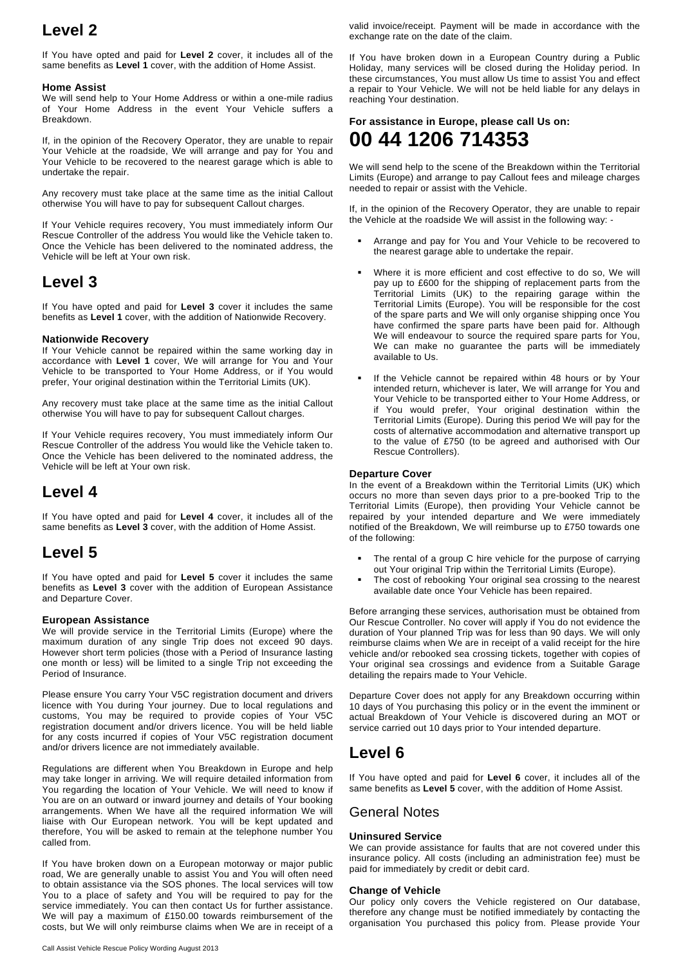# **Level 2**

If You have opted and paid for **Level 2** cover, it includes all of the same benefits as **Level 1** cover, with the addition of Home Assist.

## **Home Assist**

We will send help to Your Home Address or within a one-mile radius of Your Home Address in the event Your Vehicle suffers a Breakdown.

If, in the opinion of the Recovery Operator, they are unable to repair Your Vehicle at the roadside, We will arrange and pay for You and Your Vehicle to be recovered to the nearest garage which is able to undertake the repair.

Any recovery must take place at the same time as the initial Callout otherwise You will have to pay for subsequent Callout charges.

If Your Vehicle requires recovery, You must immediately inform Our Rescue Controller of the address You would like the Vehicle taken to. Once the Vehicle has been delivered to the nominated address, the Vehicle will be left at Your own risk.

## **Level 3**

If You have opted and paid for **Level 3** cover it includes the same benefits as **Level 1** cover, with the addition of Nationwide Recovery.

## **Nationwide Recovery**

If Your Vehicle cannot be repaired within the same working day in accordance with **Level 1** cover, We will arrange for You and Your Vehicle to be transported to Your Home Address, or if You would prefer, Your original destination within the Territorial Limits (UK).

Any recovery must take place at the same time as the initial Callout otherwise You will have to pay for subsequent Callout charges.

If Your Vehicle requires recovery, You must immediately inform Our Rescue Controller of the address You would like the Vehicle taken to. Once the Vehicle has been delivered to the nominated address, the Vehicle will be left at Your own risk.

## **Level 4**

If You have opted and paid for **Level 4** cover, it includes all of the same benefits as **Level 3** cover, with the addition of Home Assist.

## **Level 5**

If You have opted and paid for **Level 5** cover it includes the same benefits as **Level 3** cover with the addition of European Assistance and Departure Cover.

## **European Assistance**

We will provide service in the Territorial Limits (Europe) where the maximum duration of any single Trip does not exceed 90 days. However short term policies (those with a Period of Insurance lasting one month or less) will be limited to a single Trip not exceeding the Period of Insurance.

Please ensure You carry Your V5C registration document and drivers licence with You during Your journey. Due to local regulations and customs, You may be required to provide copies of Your V5C registration document and/or drivers licence. You will be held liable for any costs incurred if copies of Your V5C registration document and/or drivers licence are not immediately available.

Regulations are different when You Breakdown in Europe and help may take longer in arriving. We will require detailed information from You regarding the location of Your Vehicle. We will need to know if You are on an outward or inward journey and details of Your booking arrangements. When We have all the required information We will liaise with Our European network. You will be kept updated and therefore, You will be asked to remain at the telephone number You called from.

If You have broken down on a European motorway or major public road, We are generally unable to assist You and You will often need to obtain assistance via the SOS phones. The local services will tow You to a place of safety and You will be required to pay for the service immediately. You can then contact Us for further assistance. We will pay a maximum of £150.00 towards reimbursement of the costs, but We will only reimburse claims when We are in receipt of a valid invoice/receipt. Payment will be made in accordance with the exchange rate on the date of the claim.

If You have broken down in a European Country during a Public Holiday, many services will be closed during the Holiday period. In these circumstances, You must allow Us time to assist You and effect a repair to Your Vehicle. We will not be held liable for any delays in reaching Your destination.

**For assistance in Europe, please call Us on:** 

# **00 44 1206 714353**

We will send help to the scene of the Breakdown within the Territorial Limits (Europe) and arrange to pay Callout fees and mileage charges needed to repair or assist with the Vehicle.

If, in the opinion of the Recovery Operator, they are unable to repair the Vehicle at the roadside We will assist in the following way: -

- Arrange and pay for You and Your Vehicle to be recovered to the nearest garage able to undertake the repair.
- Where it is more efficient and cost effective to do so, We will pay up to £600 for the shipping of replacement parts from the Territorial Limits (UK) to the repairing garage within the Territorial Limits (Europe). You will be responsible for the cost of the spare parts and We will only organise shipping once You have confirmed the spare parts have been paid for. Although We will endeavour to source the required spare parts for You, We can make no guarantee the parts will be immediately available to Us.
- **If the Vehicle cannot be repaired within 48 hours or by Your** intended return, whichever is later, We will arrange for You and Your Vehicle to be transported either to Your Home Address, or if You would prefer, Your original destination within the Territorial Limits (Europe). During this period We will pay for the costs of alternative accommodation and alternative transport up to the value of £750 (to be agreed and authorised with Our Rescue Controllers).

## **Departure Cover**

In the event of a Breakdown within the Territorial Limits (UK) which occurs no more than seven days prior to a pre-booked Trip to the Territorial Limits (Europe), then providing Your Vehicle cannot be repaired by your intended departure and We were immediately notified of the Breakdown, We will reimburse up to £750 towards one of the following:

- The rental of a group C hire vehicle for the purpose of carrying out Your original Trip within the Territorial Limits (Europe).
- The cost of rebooking Your original sea crossing to the nearest available date once Your Vehicle has been repaired.

Before arranging these services, authorisation must be obtained from Our Rescue Controller. No cover will apply if You do not evidence the duration of Your planned Trip was for less than 90 days. We will only reimburse claims when We are in receipt of a valid receipt for the hire vehicle and/or rebooked sea crossing tickets, together with copies of Your original sea crossings and evidence from a Suitable Garage detailing the repairs made to Your Vehicle.

Departure Cover does not apply for any Breakdown occurring within 10 days of You purchasing this policy or in the event the imminent or actual Breakdown of Your Vehicle is discovered during an MOT or service carried out 10 days prior to Your intended departure.

## **Level 6**

If You have opted and paid for **Level 6** cover, it includes all of the same benefits as **Level 5** cover, with the addition of Home Assist.

## General Notes

## **Uninsured Service**

We can provide assistance for faults that are not covered under this insurance policy. All costs (including an administration fee) must be paid for immediately by credit or debit card.

## **Change of Vehicle**

Our policy only covers the Vehicle registered on Our database, therefore any change must be notified immediately by contacting the organisation You purchased this policy from. Please provide Your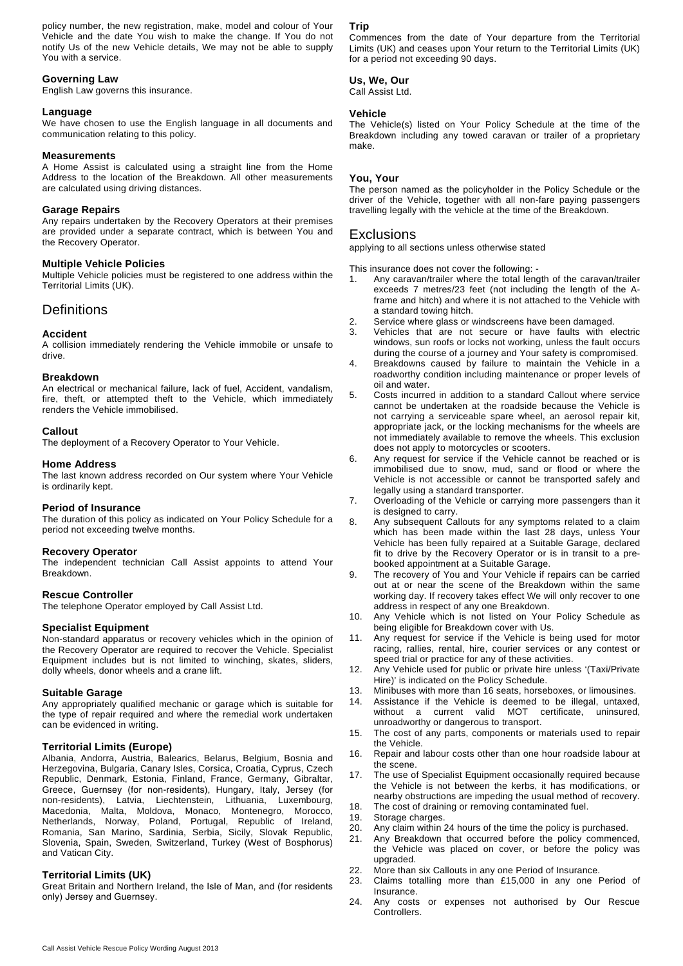policy number, the new registration, make, model and colour of Your Vehicle and the date You wish to make the change. If You do not notify Us of the new Vehicle details, We may not be able to supply You with a service.

## **Governing Law**

English Law governs this insurance.

## **Language**

We have chosen to use the English language in all documents and communication relating to this policy.

## **Measurements**

A Home Assist is calculated using a straight line from the Home Address to the location of the Breakdown. All other measurements are calculated using driving distances.

#### **Garage Repairs**

Any repairs undertaken by the Recovery Operators at their premises are provided under a separate contract, which is between You and the Recovery Operator.

## **Multiple Vehicle Policies**

Multiple Vehicle policies must be registered to one address within the Territorial Limits (UK).

## **Definitions**

## **Accident**

A collision immediately rendering the Vehicle immobile or unsafe to drive.

#### **Breakdown**

An electrical or mechanical failure, lack of fuel, Accident, vandalism, fire, theft, or attempted theft to the Vehicle, which immediately renders the Vehicle immobilised.

#### **Callout**

The deployment of a Recovery Operator to Your Vehicle.

#### **Home Address**

The last known address recorded on Our system where Your Vehicle is ordinarily kept.

#### **Period of Insurance**

The duration of this policy as indicated on Your Policy Schedule for a period not exceeding twelve months.

#### **Recovery Operator**

The independent technician Call Assist appoints to attend Your Breakdown.

## **Rescue Controller**

The telephone Operator employed by Call Assist Ltd.

#### **Specialist Equipment**

Non-standard apparatus or recovery vehicles which in the opinion of the Recovery Operator are required to recover the Vehicle. Specialist Equipment includes but is not limited to winching, skates, sliders, dolly wheels, donor wheels and a crane lift.

#### **Suitable Garage**

Any appropriately qualified mechanic or garage which is suitable for the type of repair required and where the remedial work undertaken can be evidenced in writing.

## **Territorial Limits (Europe)**

Albania, Andorra, Austria, Balearics, Belarus, Belgium, Bosnia and Herzegovina, Bulgaria, Canary Isles, Corsica, Croatia, Cyprus, Czech Republic, Denmark, Estonia, Finland, France, Germany, Gibraltar, Greece, Guernsey (for non-residents), Hungary, Italy, Jersey (for non-residents), Latvia, Liechtenstein, Lithuania, Luxembourg, Macedonia, Malta, Moldova, Monaco, Montenegro, Morocco, Netherlands, Norway, Poland, Portugal, Republic of Ireland, Romania, San Marino, Sardinia, Serbia, Sicily, Slovak Republic, Slovenia, Spain, Sweden, Switzerland, Turkey (West of Bosphorus) and Vatican City.

## **Territorial Limits (UK)**

Great Britain and Northern Ireland, the Isle of Man, and (for residents only) Jersey and Guernsey.

## **Trip**

Commences from the date of Your departure from the Territorial Limits (UK) and ceases upon Your return to the Territorial Limits (UK) for a period not exceeding 90 days.

## **Us, We, Our**  Call Assist Ltd.

## **Vehicle**

The Vehicle(s) listed on Your Policy Schedule at the time of the Breakdown including any towed caravan or trailer of a proprietary make.

## **You, Your**

The person named as the policyholder in the Policy Schedule or the driver of the Vehicle, together with all non-fare paying passengers travelling legally with the vehicle at the time of the Breakdown.

## Exclusions

applying to all sections unless otherwise stated

This insurance does not cover the following: -

- Any caravan/trailer where the total length of the caravan/trailer exceeds 7 metres/23 feet (not including the length of the Aframe and hitch) and where it is not attached to the Vehicle with a standard towing hitch.
- 2. Service where glass or windscreens have been damaged.
- 3. Vehicles that are not secure or have faults with electric windows, sun roofs or locks not working, unless the fault occurs during the course of a journey and Your safety is compromised.
- 4. Breakdowns caused by failure to maintain the Vehicle in a roadworthy condition including maintenance or proper levels of oil and water.
- 5. Costs incurred in addition to a standard Callout where service cannot be undertaken at the roadside because the Vehicle is not carrying a serviceable spare wheel, an aerosol repair kit, appropriate jack, or the locking mechanisms for the wheels are not immediately available to remove the wheels. This exclusion does not apply to motorcycles or scooters.
- 6. Any request for service if the Vehicle cannot be reached or is immobilised due to snow, mud, sand or flood or where the Vehicle is not accessible or cannot be transported safely and legally using a standard transporter.
- 7. Overloading of the Vehicle or carrying more passengers than it is designed to carry.
- 8. Any subsequent Callouts for any symptoms related to a claim which has been made within the last 28 days, unless Your Vehicle has been fully repaired at a Suitable Garage, declared fit to drive by the Recovery Operator or is in transit to a prebooked appointment at a Suitable Garage.
- 9. The recovery of You and Your Vehicle if repairs can be carried out at or near the scene of the Breakdown within the same working day. If recovery takes effect We will only recover to one address in respect of any one Breakdown.
- 10. Any Vehicle which is not listed on Your Policy Schedule as being eligible for Breakdown cover with Us.
- 11. Any request for service if the Vehicle is being used for motor racing, rallies, rental, hire, courier services or any contest or speed trial or practice for any of these activities.
- 12. Any Vehicle used for public or private hire unless '(Taxi/Private Hire)' is indicated on the Policy Schedule.
- 13. Minibuses with more than 16 seats, horseboxes, or limousines.
- 14. Assistance if the Vehicle is deemed to be illegal, untaxed, without a current valid MOT certificate, uninsured, unroadworthy or dangerous to transport.
- 15. The cost of any parts, components or materials used to repair the Vehicle.
- 16. Repair and labour costs other than one hour roadside labour at the scene.
- The use of Specialist Equipment occasionally required because the Vehicle is not between the kerbs, it has modifications, or nearby obstructions are impeding the usual method of recovery.
- 18. The cost of draining or removing contaminated fuel.
- 19. Storage charges.
- 20. Any claim within 24 hours of the time the policy is purchased.
- 21. Any Breakdown that occurred before the policy commenced,
- the Vehicle was placed on cover, or before the policy was upgraded. 22. More than six Callouts in any one Period of Insurance.
- 
- 23. Claims totalling more than £15,000 in any one Period of Insurance.
- 24. Any costs or expenses not authorised by Our Rescue Controllers.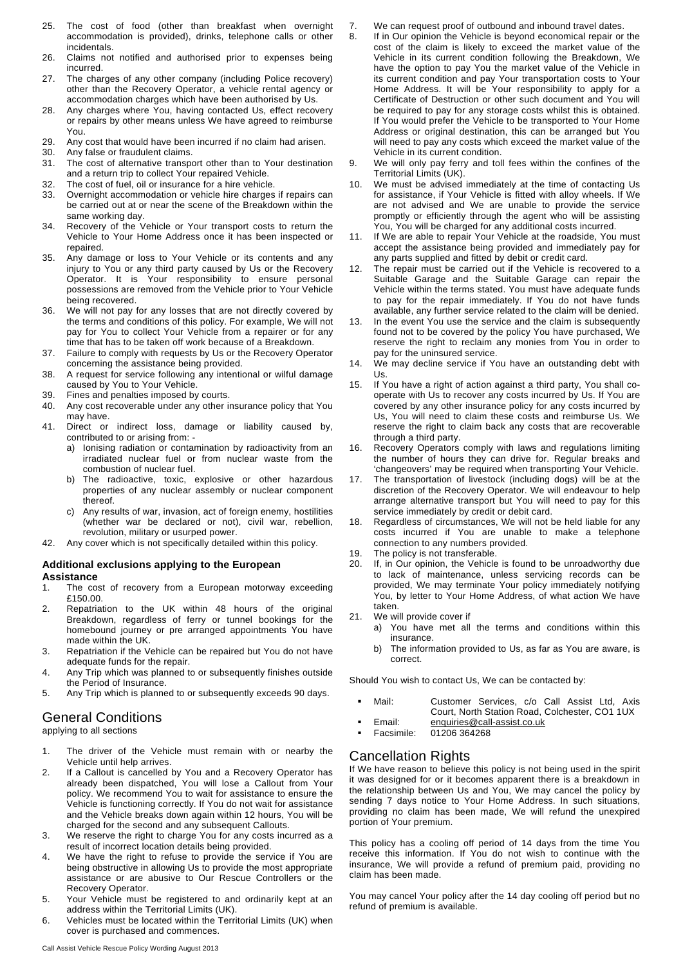- 25. The cost of food (other than breakfast when overnight accommodation is provided), drinks, telephone calls or other incidentals.
- 26. Claims not notified and authorised prior to expenses being incurred.
- 27. The charges of any other company (including Police recovery) other than the Recovery Operator, a vehicle rental agency or accommodation charges which have been authorised by Us.
- 28. Any charges where You, having contacted Us, effect recovery or repairs by other means unless We have agreed to reimburse You.
- 29. Any cost that would have been incurred if no claim had arisen.
- 30. Any false or fraudulent claims.
- 31. The cost of alternative transport other than to Your destination and a return trip to collect Your repaired Vehicle.
- 32. The cost of fuel, oil or insurance for a hire vehicle.
- 33. Overnight accommodation or vehicle hire charges if repairs can be carried out at or near the scene of the Breakdown within the same working day.
- 34. Recovery of the Vehicle or Your transport costs to return the Vehicle to Your Home Address once it has been inspected or repaired.
- 35. Any damage or loss to Your Vehicle or its contents and any injury to You or any third party caused by Us or the Recovery Operator. It is Your responsibility to ensure personal possessions are removed from the Vehicle prior to Your Vehicle being recovered.
- 36. We will not pay for any losses that are not directly covered by the terms and conditions of this policy. For example, We will not pay for You to collect Your Vehicle from a repairer or for any time that has to be taken off work because of a Breakdown.
- 37. Failure to comply with requests by Us or the Recovery Operator concerning the assistance being provided.
- 38. A request for service following any intentional or wilful damage caused by You to Your Vehicle.
- 39. Fines and penalties imposed by courts.
- 40. Any cost recoverable under any other insurance policy that You may have.
- 41. Direct or indirect loss, damage or liability caused by, contributed to or arising from:
	- a) Ionising radiation or contamination by radioactivity from an irradiated nuclear fuel or from nuclear waste from the combustion of nuclear fuel.
	- b) The radioactive, toxic, explosive or other hazardous properties of any nuclear assembly or nuclear component thereof.
	- c) Any results of war, invasion, act of foreign enemy, hostilities (whether war be declared or not), civil war, rebellion, revolution, military or usurped power.
- 42. Any cover which is not specifically detailed within this policy.

## **Additional exclusions applying to the European Assistance**

- 1. The cost of recovery from a European motorway exceeding £150.00.
- 2. Repatriation to the UK within 48 hours of the original Breakdown, regardless of ferry or tunnel bookings for the homebound journey or pre arranged appointments You have made within the UK.
- 3. Repatriation if the Vehicle can be repaired but You do not have adequate funds for the repair.
- 4. Any Trip which was planned to or subsequently finishes outside the Period of Insurance.
- 5. Any Trip which is planned to or subsequently exceeds 90 days.

## General Conditions

applying to all sections

- 1. The driver of the Vehicle must remain with or nearby the Vehicle until help arrives.
- 2. If a Callout is cancelled by You and a Recovery Operator has already been dispatched, You will lose a Callout from Your policy. We recommend You to wait for assistance to ensure the Vehicle is functioning correctly. If You do not wait for assistance and the Vehicle breaks down again within 12 hours, You will be charged for the second and any subsequent Callouts.
- 3. We reserve the right to charge You for any costs incurred as a result of incorrect location details being provided.
- 4. We have the right to refuse to provide the service if You are being obstructive in allowing Us to provide the most appropriate assistance or are abusive to Our Rescue Controllers or the Recovery Operator.
- 5. Your Vehicle must be registered to and ordinarily kept at an address within the Territorial Limits (UK).
- 6. Vehicles must be located within the Territorial Limits (UK) when cover is purchased and commences.
- 7. We can request proof of outbound and inbound travel dates.
- 8. If in Our opinion the Vehicle is beyond economical repair or the cost of the claim is likely to exceed the market value of the Vehicle in its current condition following the Breakdown, We have the option to pay You the market value of the Vehicle in its current condition and pay Your transportation costs to Your Home Address. It will be Your responsibility to apply for a Certificate of Destruction or other such document and You will be required to pay for any storage costs whilst this is obtained. If You would prefer the Vehicle to be transported to Your Home Address or original destination, this can be arranged but You will need to pay any costs which exceed the market value of the Vehicle in its current condition.
- 9. We will only pay ferry and toll fees within the confines of the Territorial Limits (UK).
- 10. We must be advised immediately at the time of contacting Us for assistance, if Your Vehicle is fitted with alloy wheels. If We are not advised and We are unable to provide the service promptly or efficiently through the agent who will be assisting You, You will be charged for any additional costs incurred.
- 11. If We are able to repair Your Vehicle at the roadside, You must accept the assistance being provided and immediately pay for any parts supplied and fitted by debit or credit card.
- 12. The repair must be carried out if the Vehicle is recovered to a Suitable Garage and the Suitable Garage can repair the Vehicle within the terms stated. You must have adequate funds to pay for the repair immediately. If You do not have funds available, any further service related to the claim will be denied.
- 13. In the event You use the service and the claim is subsequently found not to be covered by the policy You have purchased, We reserve the right to reclaim any monies from You in order to pay for the uninsured service.
- 14. We may decline service if You have an outstanding debt with Us.
- 15. If You have a right of action against a third party, You shall cooperate with Us to recover any costs incurred by Us. If You are covered by any other insurance policy for any costs incurred by Us, You will need to claim these costs and reimburse Us. We reserve the right to claim back any costs that are recoverable through a third party.
- 16. Recovery Operators comply with laws and regulations limiting the number of hours they can drive for. Regular breaks and 'changeovers' may be required when transporting Your Vehicle.
- The transportation of livestock (including dogs) will be at the discretion of the Recovery Operator. We will endeavour to help arrange alternative transport but You will need to pay for this service immediately by credit or debit card.
- 18. Regardless of circumstances, We will not be held liable for any costs incurred if You are unable to make a telephone connection to any numbers provided.
- 19. The policy is not transferable.
- 20. If, in Our opinion, the Vehicle is found to be unroadworthy due to lack of maintenance, unless servicing records can be provided, We may terminate Your policy immediately notifying You, by letter to Your Home Address, of what action We have taken.
- 21. We will provide cover if
	- a) You have met all the terms and conditions within this insurance.
	- b) The information provided to Us, as far as You are aware, is correct.

Should You wish to contact Us, We can be contacted by:

- Mail: Customer Services, c/o Call Assist Ltd, Axis Court, North Station Road, Colchester, CO1 1UX
- Email: enquiries@call-assist.co.uk
- Facsimile: 01206 364268

## Cancellation Rights

If We have reason to believe this policy is not being used in the spirit it was designed for or it becomes apparent there is a breakdown in the relationship between Us and You, We may cancel the policy by sending 7 days notice to Your Home Address. In such situations, providing no claim has been made, We will refund the unexpired portion of Your premium.

This policy has a cooling off period of 14 days from the time You receive this information. If You do not wish to continue with the insurance, We will provide a refund of premium paid, providing no claim has been made.

You may cancel Your policy after the 14 day cooling off period but no refund of premium is available.